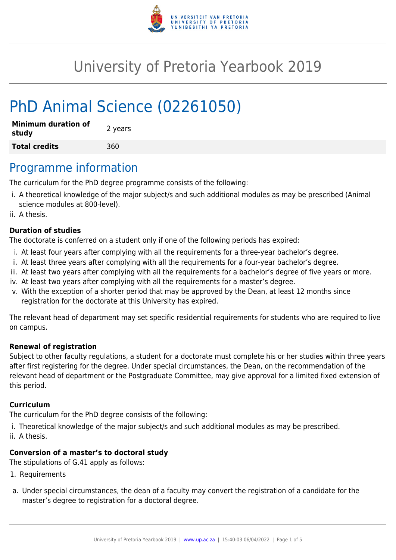

# University of Pretoria Yearbook 2019

# PhD Animal Science (02261050)

| <b>Minimum duration of</b><br>study | 2 years |
|-------------------------------------|---------|
| <b>Total credits</b>                | 360     |

### Programme information

The curriculum for the PhD degree programme consists of the following:

- i. A theoretical knowledge of the major subject/s and such additional modules as may be prescribed (Animal science modules at 800-level).
- ii. A thesis.

#### **Duration of studies**

The doctorate is conferred on a student only if one of the following periods has expired:

- i. At least four years after complying with all the requirements for a three-year bachelor's degree.
- ii. At least three years after complying with all the requirements for a four-year bachelor's degree.
- iii. At least two years after complying with all the requirements for a bachelor's degree of five years or more.
- iv. At least two years after complying with all the requirements for a master's degree.
- v. With the exception of a shorter period that may be approved by the Dean, at least 12 months since registration for the doctorate at this University has expired.

The relevant head of department may set specific residential requirements for students who are required to live on campus.

#### **Renewal of registration**

Subject to other faculty regulations, a student for a doctorate must complete his or her studies within three years after first registering for the degree. Under special circumstances, the Dean, on the recommendation of the relevant head of department or the Postgraduate Committee, may give approval for a limited fixed extension of this period.

#### **Curriculum**

The curriculum for the PhD degree consists of the following:

- i. Theoretical knowledge of the major subject/s and such additional modules as may be prescribed.
- ii. A thesis.

#### **Conversion of a master's to doctoral study**

The stipulations of G.41 apply as follows:

- 1. Requirements
- a. Under special circumstances, the dean of a faculty may convert the registration of a candidate for the master's degree to registration for a doctoral degree.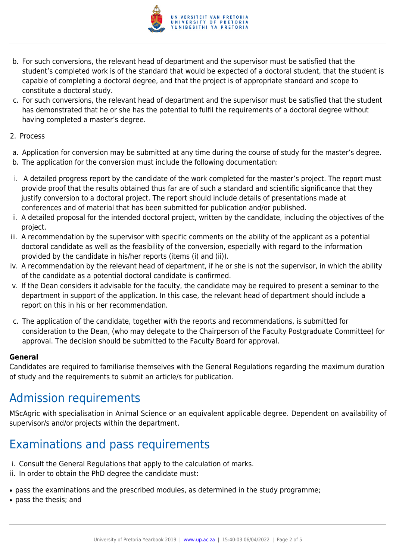

- b. For such conversions, the relevant head of department and the supervisor must be satisfied that the student's completed work is of the standard that would be expected of a doctoral student, that the student is capable of completing a doctoral degree, and that the project is of appropriate standard and scope to constitute a doctoral study.
- c. For such conversions, the relevant head of department and the supervisor must be satisfied that the student has demonstrated that he or she has the potential to fulfil the requirements of a doctoral degree without having completed a master's degree.
- 2. Process
- a. Application for conversion may be submitted at any time during the course of study for the master's degree.
- b. The application for the conversion must include the following documentation:
- i. A detailed progress report by the candidate of the work completed for the master's project. The report must provide proof that the results obtained thus far are of such a standard and scientific significance that they justify conversion to a doctoral project. The report should include details of presentations made at conferences and of material that has been submitted for publication and/or published.
- ii. A detailed proposal for the intended doctoral project, written by the candidate, including the objectives of the project.
- iii. A recommendation by the supervisor with specific comments on the ability of the applicant as a potential doctoral candidate as well as the feasibility of the conversion, especially with regard to the information provided by the candidate in his/her reports (items (i) and (ii)).
- iv. A recommendation by the relevant head of department, if he or she is not the supervisor, in which the ability of the candidate as a potential doctoral candidate is confirmed.
- v. If the Dean considers it advisable for the faculty, the candidate may be required to present a seminar to the department in support of the application. In this case, the relevant head of department should include a report on this in his or her recommendation.
- c. The application of the candidate, together with the reports and recommendations, is submitted for consideration to the Dean, (who may delegate to the Chairperson of the Faculty Postgraduate Committee) for approval. The decision should be submitted to the Faculty Board for approval.

#### **General**

Candidates are required to familiarise themselves with the General Regulations regarding the maximum duration of study and the requirements to submit an article/s for publication.

## Admission requirements

MScAgric with specialisation in Animal Science or an equivalent applicable degree. Dependent on availability of supervisor/s and/or projects within the department.

## Examinations and pass requirements

- i. Consult the General Regulations that apply to the calculation of marks.
- ii. In order to obtain the PhD degree the candidate must:
- pass the examinations and the prescribed modules, as determined in the study programme;
- pass the thesis; and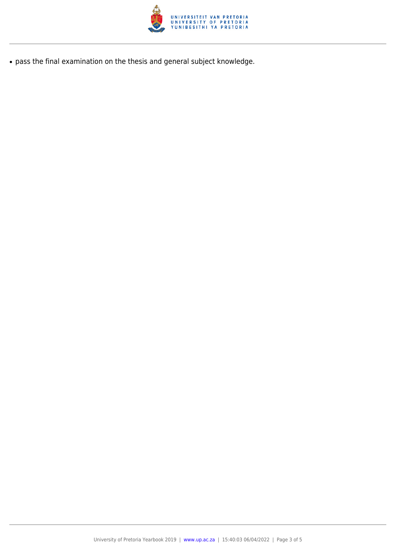

● pass the final examination on the thesis and general subject knowledge.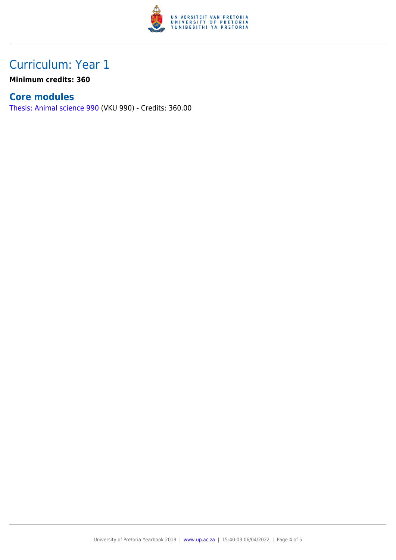

### Curriculum: Year 1

**Minimum credits: 360**

### **Core modules**

[Thesis: Animal science 990](https://www.up.ac.za/faculty-of-education/yearbooks/2019/modules/view/VKU 990) (VKU 990) - Credits: 360.00